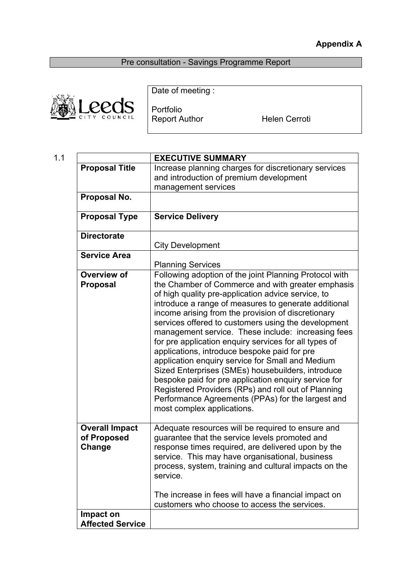# **Appendix A**

Pre consultation - Savings Programme Report



Date of meeting :

Portfolio Report Author **Helen Cerroti** 

| 1.1 |                                                | <b>EXECUTIVE SUMMARY</b>                                                                                                                                                                                                                                                                                                                                                                                                                                                                                                                                                                                                                                                                                                                                                                                         |
|-----|------------------------------------------------|------------------------------------------------------------------------------------------------------------------------------------------------------------------------------------------------------------------------------------------------------------------------------------------------------------------------------------------------------------------------------------------------------------------------------------------------------------------------------------------------------------------------------------------------------------------------------------------------------------------------------------------------------------------------------------------------------------------------------------------------------------------------------------------------------------------|
|     | <b>Proposal Title</b>                          | Increase planning charges for discretionary services                                                                                                                                                                                                                                                                                                                                                                                                                                                                                                                                                                                                                                                                                                                                                             |
|     |                                                | and introduction of premium development<br>management services                                                                                                                                                                                                                                                                                                                                                                                                                                                                                                                                                                                                                                                                                                                                                   |
|     | Proposal No.                                   |                                                                                                                                                                                                                                                                                                                                                                                                                                                                                                                                                                                                                                                                                                                                                                                                                  |
|     | <b>Proposal Type</b>                           | <b>Service Delivery</b>                                                                                                                                                                                                                                                                                                                                                                                                                                                                                                                                                                                                                                                                                                                                                                                          |
|     | <b>Directorate</b>                             | <b>City Development</b>                                                                                                                                                                                                                                                                                                                                                                                                                                                                                                                                                                                                                                                                                                                                                                                          |
|     | <b>Service Area</b>                            | <b>Planning Services</b>                                                                                                                                                                                                                                                                                                                                                                                                                                                                                                                                                                                                                                                                                                                                                                                         |
|     | Overview of<br><b>Proposal</b>                 | Following adoption of the joint Planning Protocol with<br>the Chamber of Commerce and with greater emphasis<br>of high quality pre-application advice service, to<br>introduce a range of measures to generate additional<br>income arising from the provision of discretionary<br>services offered to customers using the development<br>management service. These include: increasing fees<br>for pre application enquiry services for all types of<br>applications, introduce bespoke paid for pre<br>application enquiry service for Small and Medium<br>Sized Enterprises (SMEs) housebuilders, introduce<br>bespoke paid for pre application enquiry service for<br>Registered Providers (RPs) and roll out of Planning<br>Performance Agreements (PPAs) for the largest and<br>most complex applications. |
|     | <b>Overall Impact</b><br>of Proposed<br>Change | Adequate resources will be required to ensure and<br>guarantee that the service levels promoted and<br>response times required, are delivered upon by the<br>service. This may have organisational, business<br>process, system, training and cultural impacts on the<br>service.<br>The increase in fees will have a financial impact on<br>customers who choose to access the services.                                                                                                                                                                                                                                                                                                                                                                                                                        |
|     | Impact on<br><b>Affected Service</b>           |                                                                                                                                                                                                                                                                                                                                                                                                                                                                                                                                                                                                                                                                                                                                                                                                                  |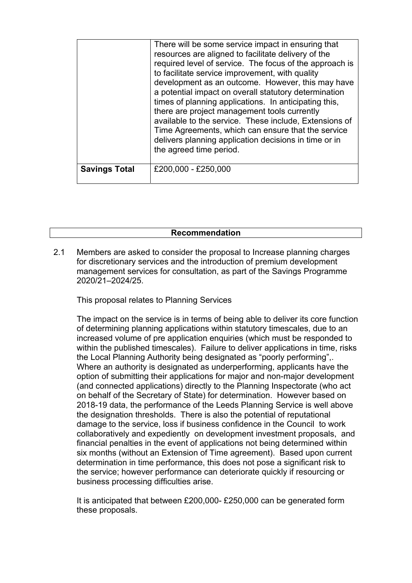|                      | There will be some service impact in ensuring that<br>resources are aligned to facilitate delivery of the<br>required level of service. The focus of the approach is<br>to facilitate service improvement, with quality<br>development as an outcome. However, this may have<br>a potential impact on overall statutory determination<br>times of planning applications. In anticipating this,<br>there are project management tools currently<br>available to the service. These include, Extensions of<br>Time Agreements, which can ensure that the service<br>delivers planning application decisions in time or in<br>the agreed time period. |
|----------------------|----------------------------------------------------------------------------------------------------------------------------------------------------------------------------------------------------------------------------------------------------------------------------------------------------------------------------------------------------------------------------------------------------------------------------------------------------------------------------------------------------------------------------------------------------------------------------------------------------------------------------------------------------|
| <b>Savings Total</b> | £200,000 - £250,000                                                                                                                                                                                                                                                                                                                                                                                                                                                                                                                                                                                                                                |

## **Recommendation**

2.1 Members are asked to consider the proposal to Increase planning charges for discretionary services and the introduction of premium development management services for consultation, as part of the Savings Programme 2020/21–2024/25.

This proposal relates to Planning Services

The impact on the service is in terms of being able to deliver its core function of determining planning applications within statutory timescales, due to an increased volume of pre application enquiries (which must be responded to within the published timescales). Failure to deliver applications in time, risks the Local Planning Authority being designated as "poorly performing",. Where an authority is designated as underperforming, applicants have the option of submitting their applications for major and non-major development (and connected applications) directly to the Planning Inspectorate (who act on behalf of the Secretary of State) for determination. However based on 2018-19 data, the performance of the Leeds Planning Service is well above the designation thresholds. There is also the potential of reputational damage to the service, loss if business confidence in the Council to work collaboratively and expediently on development investment proposals, and financial penalties in the event of applications not being determined within six months (without an Extension of Time agreement). Based upon current determination in time performance, this does not pose a significant risk to the service; however performance can deteriorate quickly if resourcing or business processing difficulties arise.

It is anticipated that between £200,000- £250,000 can be generated form these proposals.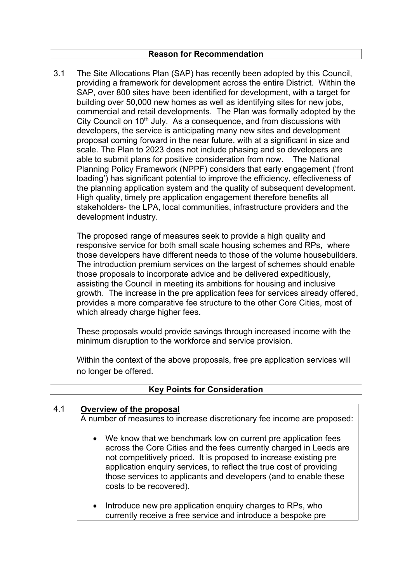#### **Reason for Recommendation**

3.1 The Site Allocations Plan (SAP) has recently been adopted by this Council, providing a framework for development across the entire District. Within the SAP, over 800 sites have been identified for development, with a target for building over 50,000 new homes as well as identifying sites for new jobs, commercial and retail developments. The Plan was formally adopted by the City Council on  $10<sup>th</sup>$  July. As a consequence, and from discussions with developers, the service is anticipating many new sites and development proposal coming forward in the near future, with at a significant in size and scale. The Plan to 2023 does not include phasing and so developers are able to submit plans for positive consideration from now. The National Planning Policy Framework (NPPF) considers that early engagement ('front loading') has significant potential to improve the efficiency, effectiveness of the planning application system and the quality of subsequent development. High quality, timely pre application engagement therefore benefits all stakeholders- the LPA, local communities, infrastructure providers and the development industry.

The proposed range of measures seek to provide a high quality and responsive service for both small scale housing schemes and RPs, where those developers have different needs to those of the volume housebuilders. The introduction premium services on the largest of schemes should enable those proposals to incorporate advice and be delivered expeditiously, assisting the Council in meeting its ambitions for housing and inclusive growth. The increase in the pre application fees for services already offered, provides a more comparative fee structure to the other Core Cities, most of which already charge higher fees.

These proposals would provide savings through increased income with the minimum disruption to the workforce and service provision.

Within the context of the above proposals, free pre application services will no longer be offered.

| 4.1 | Overview of the proposal                                                                                                                                                                                                                                                                                                                                                                    |
|-----|---------------------------------------------------------------------------------------------------------------------------------------------------------------------------------------------------------------------------------------------------------------------------------------------------------------------------------------------------------------------------------------------|
|     | A number of measures to increase discretionary fee income are proposed:                                                                                                                                                                                                                                                                                                                     |
|     | We know that we benchmark low on current pre application fees<br>$\bullet$<br>across the Core Cities and the fees currently charged in Leeds are<br>not competitively priced. It is proposed to increase existing pre<br>application enquiry services, to reflect the true cost of providing<br>those services to applicants and developers (and to enable these<br>costs to be recovered). |
|     | Introduce new pre application enquiry charges to RPs, who<br>$\bullet$<br>currently receive a free service and introduce a bespoke pre                                                                                                                                                                                                                                                      |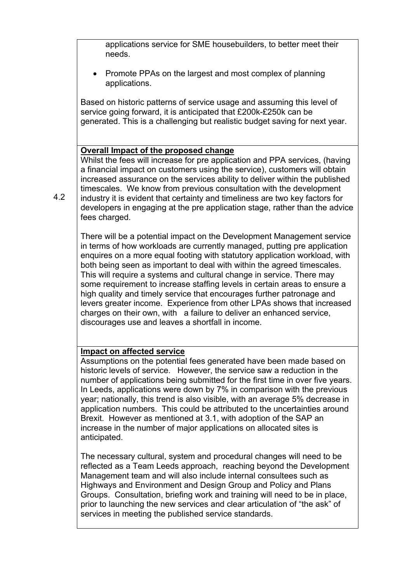applications service for SME housebuilders, to better meet their needs.

 Promote PPAs on the largest and most complex of planning applications.

Based on historic patterns of service usage and assuming this level of service going forward, it is anticipated that £200k-£250k can be generated. This is a challenging but realistic budget saving for next year.

## **Overall Impact of the proposed change**

Whilst the fees will increase for pre application and PPA services, (having a financial impact on customers using the service), customers will obtain increased assurance on the services ability to deliver within the published timescales. We know from previous consultation with the development industry it is evident that certainty and timeliness are two key factors for developers in engaging at the pre application stage, rather than the advice fees charged.

There will be a potential impact on the Development Management service in terms of how workloads are currently managed, putting pre application enquires on a more equal footing with statutory application workload, with both being seen as important to deal with within the agreed timescales. This will require a systems and cultural change in service. There may some requirement to increase staffing levels in certain areas to ensure a high quality and timely service that encourages further patronage and levers greater income. Experience from other LPAs shows that increased charges on their own, with a failure to deliver an enhanced service, discourages use and leaves a shortfall in income.

## **Impact on affected service**

Assumptions on the potential fees generated have been made based on historic levels of service. However, the service saw a reduction in the number of applications being submitted for the first time in over five years. In Leeds, applications were down by 7% in comparison with the previous year; nationally, this trend is also visible, with an average 5% decrease in application numbers. This could be attributed to the uncertainties around Brexit. However as mentioned at 3.1, with adoption of the SAP an increase in the number of major applications on allocated sites is anticipated.

The necessary cultural, system and procedural changes will need to be reflected as a Team Leeds approach, reaching beyond the Development Management team and will also include internal consultees such as Highways and Environment and Design Group and Policy and Plans Groups. Consultation, briefing work and training will need to be in place, prior to launching the new services and clear articulation of "the ask" of services in meeting the published service standards.

4.2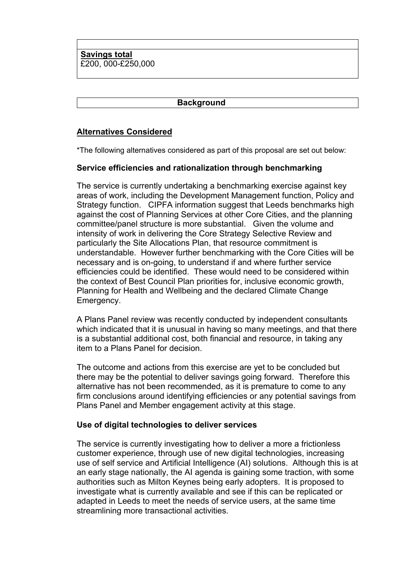**Savings total**  £200, 000-£250,000

#### **Background**

## **Alternatives Considered**

\*The following alternatives considered as part of this proposal are set out below:

## **Service efficiencies and rationalization through benchmarking**

The service is currently undertaking a benchmarking exercise against key areas of work, including the Development Management function, Policy and Strategy function. CIPFA information suggest that Leeds benchmarks high against the cost of Planning Services at other Core Cities, and the planning committee/panel structure is more substantial. Given the volume and intensity of work in delivering the Core Strategy Selective Review and particularly the Site Allocations Plan, that resource commitment is understandable. However further benchmarking with the Core Cities will be necessary and is on-going, to understand if and where further service efficiencies could be identified. These would need to be considered within the context of Best Council Plan priorities for, inclusive economic growth, Planning for Health and Wellbeing and the declared Climate Change Emergency.

A Plans Panel review was recently conducted by independent consultants which indicated that it is unusual in having so many meetings, and that there is a substantial additional cost, both financial and resource, in taking any item to a Plans Panel for decision.

The outcome and actions from this exercise are yet to be concluded but there may be the potential to deliver savings going forward. Therefore this alternative has not been recommended, as it is premature to come to any firm conclusions around identifying efficiencies or any potential savings from Plans Panel and Member engagement activity at this stage.

## **Use of digital technologies to deliver services**

The service is currently investigating how to deliver a more a frictionless customer experience, through use of new digital technologies, increasing use of self service and Artificial Intelligence (AI) solutions. Although this is at an early stage nationally, the AI agenda is gaining some traction, with some authorities such as Milton Keynes being early adopters. It is proposed to investigate what is currently available and see if this can be replicated or adapted in Leeds to meet the needs of service users, at the same time streamlining more transactional activities.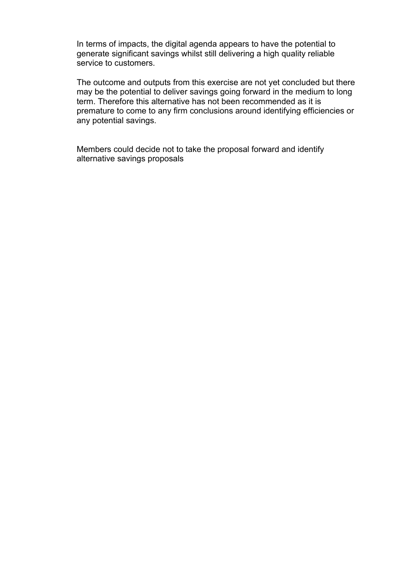In terms of impacts, the digital agenda appears to have the potential to generate significant savings whilst still delivering a high quality reliable service to customers.

The outcome and outputs from this exercise are not yet concluded but there may be the potential to deliver savings going forward in the medium to long term. Therefore this alternative has not been recommended as it is premature to come to any firm conclusions around identifying efficiencies or any potential savings.

Members could decide not to take the proposal forward and identify alternative savings proposals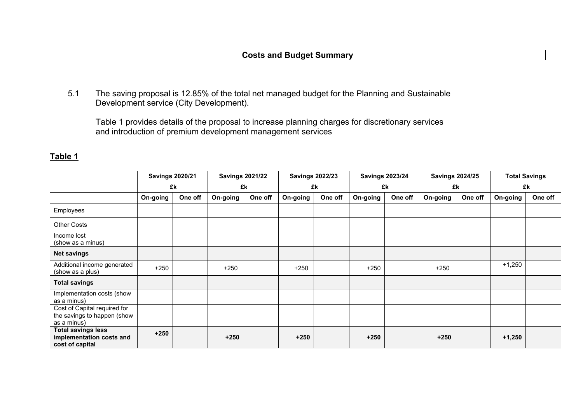## **Costs and Budget Summary**

5.1 The saving proposal is 12.85% of the total net managed budget for the Planning and Sustainable Development service (City Development).

Table 1 provides details of the proposal to increase planning charges for discretionary services and introduction of premium development management services

| ٠. | ١<br>г.<br>н<br>х. |  |
|----|--------------------|--|
|    |                    |  |

|                                                                            | <b>Savings 2020/21</b> |         | <b>Savings 2021/22</b> |         |          | <b>Savings 2022/23</b> |          | <b>Savings 2023/24</b> |          | <b>Savings 2024/25</b> |          | <b>Total Savings</b> |
|----------------------------------------------------------------------------|------------------------|---------|------------------------|---------|----------|------------------------|----------|------------------------|----------|------------------------|----------|----------------------|
|                                                                            |                        | £k      | £k                     |         | £k       |                        | £k       |                        | £k       |                        | £k       |                      |
|                                                                            | On-going               | One off | On-going               | One off | On-going | One off                | On-going | One off                | On-going | One off                | On-going | One off              |
| Employees                                                                  |                        |         |                        |         |          |                        |          |                        |          |                        |          |                      |
| <b>Other Costs</b>                                                         |                        |         |                        |         |          |                        |          |                        |          |                        |          |                      |
| Income lost<br>(show as a minus)                                           |                        |         |                        |         |          |                        |          |                        |          |                        |          |                      |
| <b>Net savings</b>                                                         |                        |         |                        |         |          |                        |          |                        |          |                        |          |                      |
| Additional income generated<br>(show as a plus)                            | $+250$                 |         | $+250$                 |         | $+250$   |                        | $+250$   |                        | $+250$   |                        | $+1,250$ |                      |
| <b>Total savings</b>                                                       |                        |         |                        |         |          |                        |          |                        |          |                        |          |                      |
| Implementation costs (show<br>as a minus)                                  |                        |         |                        |         |          |                        |          |                        |          |                        |          |                      |
| Cost of Capital required for<br>the savings to happen (show<br>as a minus) |                        |         |                        |         |          |                        |          |                        |          |                        |          |                      |
| <b>Total savings less</b><br>implementation costs and<br>cost of capital   | $+250$                 |         | $+250$                 |         | $+250$   |                        | $+250$   |                        | $+250$   |                        | $+1,250$ |                      |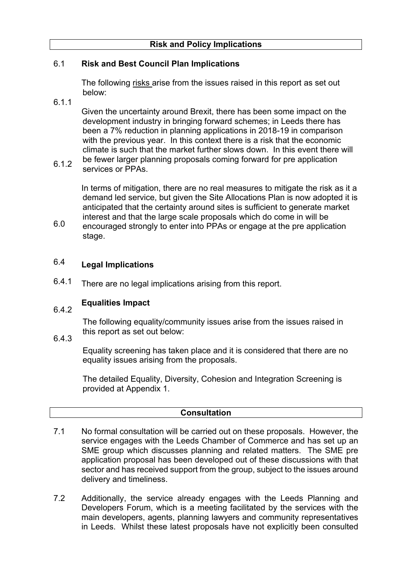#### 6.1 **Risk and Best Council Plan Implications**

The following risks arise from the issues raised in this report as set out below:

6.1.1

Given the uncertainty around Brexit, there has been some impact on the development industry in bringing forward schemes; in Leeds there has been a 7% reduction in planning applications in 2018-19 in comparison with the previous year. In this context there is a risk that the economic climate is such that the market further slows down. In this event there will

6.1.2 be fewer larger planning proposals coming forward for pre application services or PPAs.

In terms of mitigation, there are no real measures to mitigate the risk as it a demand led service, but given the Site Allocations Plan is now adopted it is anticipated that the certainty around sites is sufficient to generate market interest and that the large scale proposals which do come in will be

6.0 encouraged strongly to enter into PPAs or engage at the pre application stage.

#### 6.4 **Legal Implications**

6.4.1 There are no legal implications arising from this report.

#### 642 **Equalities Impact**

The following equality/community issues arise from the issues raised in this report as set out below:

6.4.3

Equality screening has taken place and it is considered that there are no equality issues arising from the proposals.

The detailed Equality, Diversity, Cohesion and Integration Screening is provided at Appendix 1.

## **Consultation**

- 7.1 No formal consultation will be carried out on these proposals. However, the service engages with the Leeds Chamber of Commerce and has set up an SME group which discusses planning and related matters. The SME pre application proposal has been developed out of these discussions with that sector and has received support from the group, subject to the issues around delivery and timeliness.
- 7.2 Additionally, the service already engages with the Leeds Planning and Developers Forum, which is a meeting facilitated by the services with the main developers, agents, planning lawyers and community representatives in Leeds. Whilst these latest proposals have not explicitly been consulted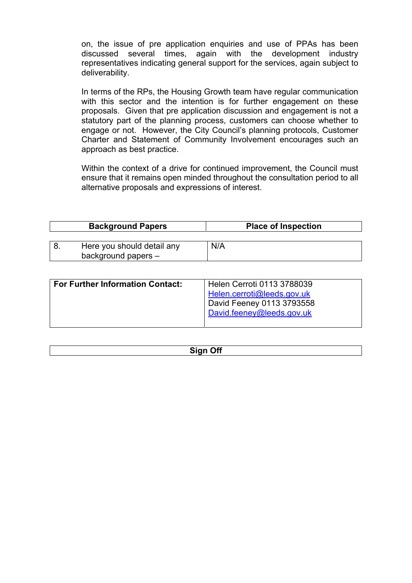on, the issue of pre application enquiries and use of PPAs has been discussed several times, again with the development industry representatives indicating general support for the services, again subject to deliverability.

In terms of the RPs, the Housing Growth team have regular communication with this sector and the intention is for further engagement on these proposals. Given that pre application discussion and engagement is not a statutory part of the planning process, customers can choose whether to engage or not. However, the City Council's planning protocols, Customer Charter and Statement of Community Involvement encourages such an approach as best practice.

Within the context of a drive for continued improvement, the Council must ensure that it remains open minded throughout the consultation period to all alternative proposals and expressions of interest.

| <b>Background Papers</b>   | <b>Place of Inspection</b> |  |  |  |
|----------------------------|----------------------------|--|--|--|
|                            |                            |  |  |  |
| Here you should detail any | N/A                        |  |  |  |
| background papers -        |                            |  |  |  |

| <b>For Further Information Contact:</b> | Helen Cerroti 0113 3788039 |
|-----------------------------------------|----------------------------|
|                                         | Helen.cerroti@leeds.gov.uk |
|                                         | David Feeney 0113 3793558  |
|                                         | David.feeney@leeds.gov.uk  |
|                                         |                            |

| --<br>,,,<br>- - - |
|--------------------|
|                    |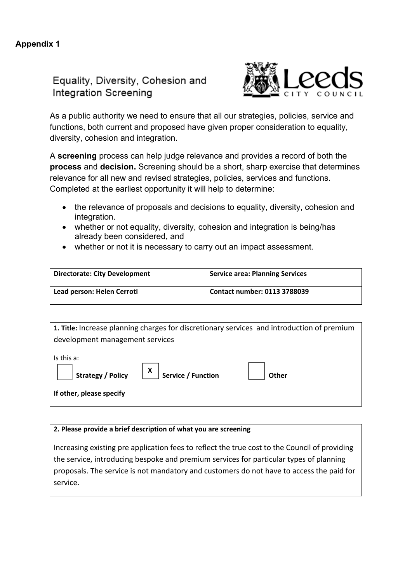## Equality, Diversity, Cohesion and **Integration Screening**



As a public authority we need to ensure that all our strategies, policies, service and functions, both current and proposed have given proper consideration to equality, diversity, cohesion and integration.

A **screening** process can help judge relevance and provides a record of both the **process** and **decision.** Screening should be a short, sharp exercise that determines relevance for all new and revised strategies, policies, services and functions. Completed at the earliest opportunity it will help to determine:

- the relevance of proposals and decisions to equality, diversity, cohesion and integration.
- whether or not equality, diversity, cohesion and integration is being/has already been considered, and
- whether or not it is necessary to carry out an impact assessment.

| <b>Directorate: City Development</b> | <b>Service area: Planning Services</b> |
|--------------------------------------|----------------------------------------|
| Lead person: Helen Cerroti           | Contact number: 0113 3788039           |

| 1. Title: Increase planning charges for discretionary services and introduction of premium                                                                                                                                                                                                                                                                                                                                         |  |  |  |  |  |
|------------------------------------------------------------------------------------------------------------------------------------------------------------------------------------------------------------------------------------------------------------------------------------------------------------------------------------------------------------------------------------------------------------------------------------|--|--|--|--|--|
| development management services                                                                                                                                                                                                                                                                                                                                                                                                    |  |  |  |  |  |
|                                                                                                                                                                                                                                                                                                                                                                                                                                    |  |  |  |  |  |
| Is this a:                                                                                                                                                                                                                                                                                                                                                                                                                         |  |  |  |  |  |
| $\sqrt{\frac{1}{1-\frac{1}{1-\frac{1}{1-\frac{1}{1-\frac{1}{1-\frac{1}{1-\frac{1}{1-\frac{1}{1-\frac{1}{1-\frac{1}{1-\frac{1}{1-\frac{1}{1-\frac{1}{1-\frac{1}{1-\frac{1}{1-\frac{1}{1-\frac{1}{1-\frac{1}{1-\frac{1}{1-\frac{1}{1-\frac{1}{1-\frac{1}{1-\frac{1}{1-\frac{1}{1-\frac{1}{1-\frac{1}{1-\frac{1}{1-\frac{1}{1-\frac{1}{1-\frac{1}{1-\frac{1}{1-\frac{1}{1-\frac{1}{1-\frac{1}{1-\frac{1}{1-\frac{1}{1-\frac$<br>Other |  |  |  |  |  |
| If other, please specify                                                                                                                                                                                                                                                                                                                                                                                                           |  |  |  |  |  |

#### **2. Please provide a brief description of what you are screening**

Increasing existing pre application fees to reflect the true cost to the Council of providing the service, introducing bespoke and premium services for particular types of planning proposals. The service is not mandatory and customers do not have to access the paid for service.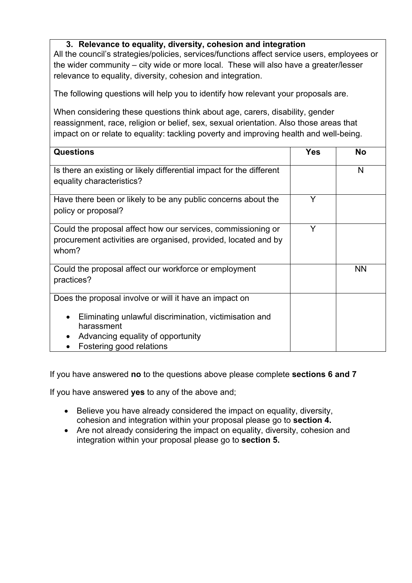## **3. Relevance to equality, diversity, cohesion and integration**

All the council's strategies/policies, services/functions affect service users, employees or the wider community – city wide or more local. These will also have a greater/lesser relevance to equality, diversity, cohesion and integration.

The following questions will help you to identify how relevant your proposals are.

When considering these questions think about age, carers, disability, gender reassignment, race, religion or belief, sex, sexual orientation. Also those areas that impact on or relate to equality: tackling poverty and improving health and well-being.

| <b>Questions</b>                                                                                                                                                                                | <b>Yes</b> | <b>No</b> |
|-------------------------------------------------------------------------------------------------------------------------------------------------------------------------------------------------|------------|-----------|
| Is there an existing or likely differential impact for the different<br>equality characteristics?                                                                                               |            | N         |
| Have there been or likely to be any public concerns about the<br>policy or proposal?                                                                                                            | Y          |           |
| Could the proposal affect how our services, commissioning or<br>procurement activities are organised, provided, located and by<br>whom?                                                         | Y          |           |
| Could the proposal affect our workforce or employment<br>practices?                                                                                                                             |            | <b>NN</b> |
| Does the proposal involve or will it have an impact on<br>Eliminating unlawful discrimination, victimisation and<br>harassment<br>Advancing equality of opportunity<br>Fostering good relations |            |           |

If you have answered **no** to the questions above please complete **sections 6 and 7**

If you have answered **yes** to any of the above and;

- Believe you have already considered the impact on equality, diversity, cohesion and integration within your proposal please go to **section 4.**
- Are not already considering the impact on equality, diversity, cohesion and integration within your proposal please go to **section 5.**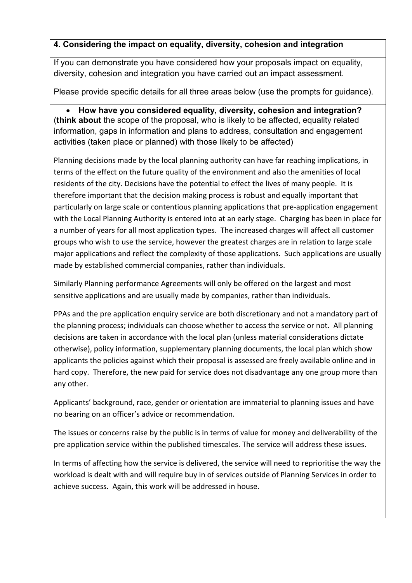## **4. Considering the impact on equality, diversity, cohesion and integration**

If you can demonstrate you have considered how your proposals impact on equality, diversity, cohesion and integration you have carried out an impact assessment.

Please provide specific details for all three areas below (use the prompts for guidance).

 **How have you considered equality, diversity, cohesion and integration?**  (**think about** the scope of the proposal, who is likely to be affected, equality related information, gaps in information and plans to address, consultation and engagement activities (taken place or planned) with those likely to be affected)

Planning decisions made by the local planning authority can have far reaching implications, in terms of the effect on the future quality of the environment and also the amenities of local residents of the city. Decisions have the potential to effect the lives of many people. It is therefore important that the decision making process is robust and equally important that particularly on large scale or contentious planning applications that pre‐application engagement with the Local Planning Authority is entered into at an early stage. Charging has been in place for a number of years for all most application types. The increased charges will affect all customer groups who wish to use the service, however the greatest charges are in relation to large scale major applications and reflect the complexity of those applications. Such applications are usually made by established commercial companies, rather than individuals.

Similarly Planning performance Agreements will only be offered on the largest and most sensitive applications and are usually made by companies, rather than individuals.

PPAs and the pre application enquiry service are both discretionary and not a mandatory part of the planning process; individuals can choose whether to access the service or not. All planning decisions are taken in accordance with the local plan (unless material considerations dictate otherwise), policy information, supplementary planning documents, the local plan which show applicants the policies against which their proposal is assessed are freely available online and in hard copy. Therefore, the new paid for service does not disadvantage any one group more than any other.

Applicants' background, race, gender or orientation are immaterial to planning issues and have no bearing on an officer's advice or recommendation.

The issues or concerns raise by the public is in terms of value for money and deliverability of the pre application service within the published timescales. The service will address these issues.

In terms of affecting how the service is delivered, the service will need to reprioritise the way the workload is dealt with and will require buy in of services outside of Planning Services in order to achieve success. Again, this work will be addressed in house.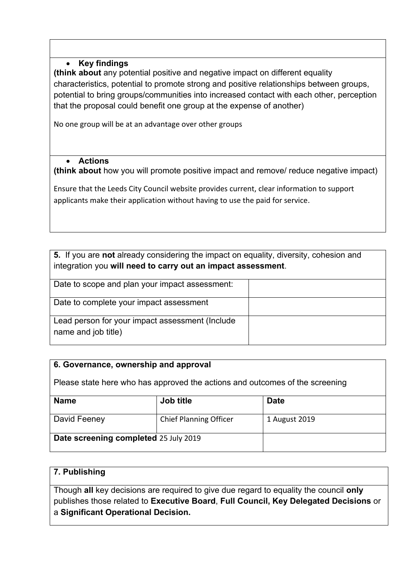## **Key findings**

**(think about** any potential positive and negative impact on different equality characteristics, potential to promote strong and positive relationships between groups, potential to bring groups/communities into increased contact with each other, perception that the proposal could benefit one group at the expense of another)

No one group will be at an advantage over other groups

#### **Actions**

**(think about** how you will promote positive impact and remove/ reduce negative impact)

Ensure that the Leeds City Council website provides current, clear information to support applicants make their application without having to use the paid for service.

**5.** If you are **not** already considering the impact on equality, diversity, cohesion and integration you **will need to carry out an impact assessment**.

| Date to scope and plan your impact assessment:                         |  |
|------------------------------------------------------------------------|--|
| Date to complete your impact assessment                                |  |
| Lead person for your impact assessment (Include<br>name and job title) |  |

## **6. Governance, ownership and approval**

Please state here who has approved the actions and outcomes of the screening

| <b>Name</b>                           | Job title                     | <b>Date</b>   |
|---------------------------------------|-------------------------------|---------------|
| David Feeney                          | <b>Chief Planning Officer</b> | 1 August 2019 |
| Date screening completed 25 July 2019 |                               |               |

## **7. Publishing**

Though **all** key decisions are required to give due regard to equality the council **only** publishes those related to **Executive Board**, **Full Council, Key Delegated Decisions** or a **Significant Operational Decision.**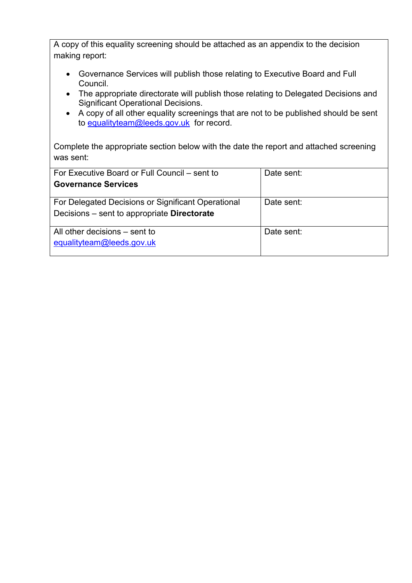A copy of this equality screening should be attached as an appendix to the decision making report:

- Governance Services will publish those relating to Executive Board and Full Council.
- The appropriate directorate will publish those relating to Delegated Decisions and Significant Operational Decisions.
- A copy of all other equality screenings that are not to be published should be sent to equalityteam@leeds.gov.uk for record.

Complete the appropriate section below with the date the report and attached screening was sent:

| For Executive Board or Full Council – sent to      | Date sent: |  |
|----------------------------------------------------|------------|--|
|                                                    |            |  |
| <b>Governance Services</b>                         |            |  |
|                                                    |            |  |
| For Delegated Decisions or Significant Operational | Date sent: |  |
|                                                    |            |  |
| Decisions – sent to appropriate Directorate        |            |  |
|                                                    |            |  |
|                                                    |            |  |
| All other decisions – sent to                      | Date sent: |  |
| equalityteam@leeds.gov.uk                          |            |  |
|                                                    |            |  |
|                                                    |            |  |